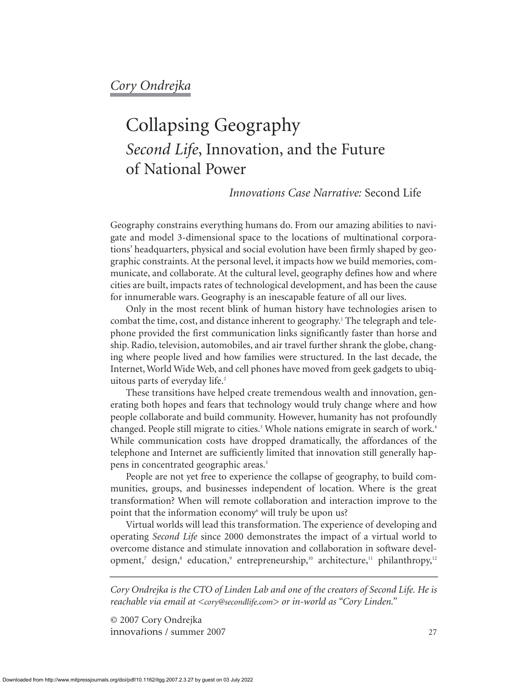# Collapsing Geography *Second Life*, Innovation, and the Future of National Power

# *Innovations Case Narrative:* Second Life

Geography constrains everything humans do. From our amazing abilities to navigate and model 3-dimensional space to the locations of multinational corporations' headquarters, physical and social evolution have been firmly shaped by geographic constraints. At the personal level, it impacts how we build memories, communicate, and collaborate. At the cultural level, geography defines how and where cities are built, impacts rates of technological development, and has been the cause for innumerable wars. Geography is an inescapable feature of all our lives.

Only in the most recent blink of human history have technologies arisen to combat the time, cost, and distance inherent to geography.1 The telegraph and telephone provided the first communication links significantly faster than horse and ship. Radio, television, automobiles, and air travel further shrank the globe, changing where people lived and how families were structured. In the last decade, the Internet, World Wide Web, and cell phones have moved from geek gadgets to ubiquitous parts of everyday life.<sup>2</sup>

These transitions have helped create tremendous wealth and innovation, generating both hopes and fears that technology would truly change where and how people collaborate and build community. However, humanity has not profoundly changed. People still migrate to cities.<sup>3</sup> Whole nations emigrate in search of work.<sup>4</sup> While communication costs have dropped dramatically, the affordances of the telephone and Internet are sufficiently limited that innovation still generally happens in concentrated geographic areas.5

People are not yet free to experience the collapse of geography, to build communities, groups, and businesses independent of location. Where is the great transformation? When will remote collaboration and interaction improve to the point that the information economy<sup>6</sup> will truly be upon us?

Virtual worlds will lead this transformation. The experience of developing and operating *Second Life* since 2000 demonstrates the impact of a virtual world to overcome distance and stimulate innovation and collaboration in software development,<sup>7</sup> design,<sup>8</sup> education,<sup>9</sup> entrepreneurship,<sup>10</sup> architecture,<sup>11</sup> philanthropy,<sup>12</sup>

*Cory Ondrejka is the CTO of Linden Lab and one of the creators of Second Life. He is reachable via email at <cory@secondlife.com> or in-world as "Cory Linden."*

© 2007 Cory Ondrejka innova*t*ions / summer 2007 27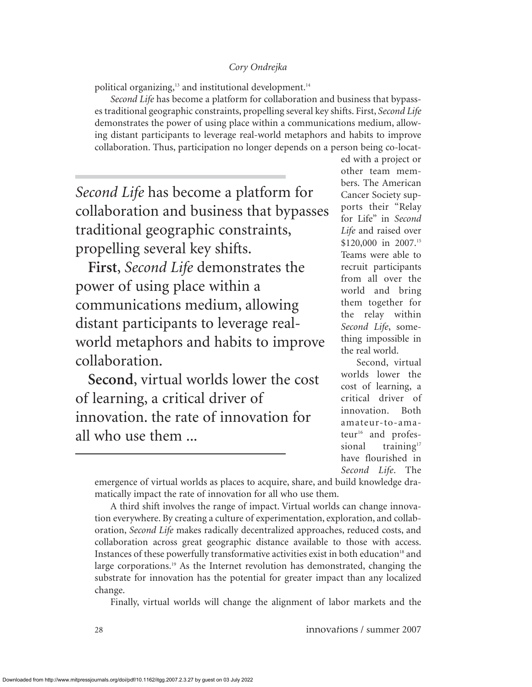political organizing,<sup>13</sup> and institutional development.<sup>14</sup>

*Second Life* has become a platform for collaboration and business that bypasses traditional geographic constraints, propelling several key shifts. First, *Second Life* demonstrates the power of using place within a communications medium, allowing distant participants to leverage real-world metaphors and habits to improve collaboration. Thus, participation no longer depends on a person being co-locat-

*Second Life* has become a platform for collaboration and business that bypasses traditional geographic constraints, propelling several key shifts.

**First**, *Second Life* demonstrates the power of using place within a communications medium, allowing distant participants to leverage realworld metaphors and habits to improve collaboration.

**Second**, virtual worlds lower the cost of learning, a critical driver of innovation. the rate of innovation for all who use them ...

ed with a project or other team members. The American Cancer Society supports their "Relay for Life" in *Second Life* and raised over \$120,000 in 2007.<sup>15</sup> Teams were able to recruit participants from all over the world and bring them together for the relay within *Second Life*, something impossible in the real world.

Second, virtual worlds lower the cost of learning, a critical driver of innovation. Both amateur-to-amateur<sup>16</sup> and professional  $training<sup>17</sup>$ have flourished in *Second Life*. The

emergence of virtual worlds as places to acquire, share, and build knowledge dramatically impact the rate of innovation for all who use them.

A third shift involves the range of impact. Virtual worlds can change innovation everywhere. By creating a culture of experimentation, exploration, and collaboration, *Second Life* makes radically decentralized approaches, reduced costs, and collaboration across great geographic distance available to those with access. Instances of these powerfully transformative activities exist in both education<sup>18</sup> and large corporations.<sup>19</sup> As the Internet revolution has demonstrated, changing the substrate for innovation has the potential for greater impact than any localized change.

Finally, virtual worlds will change the alignment of labor markets and the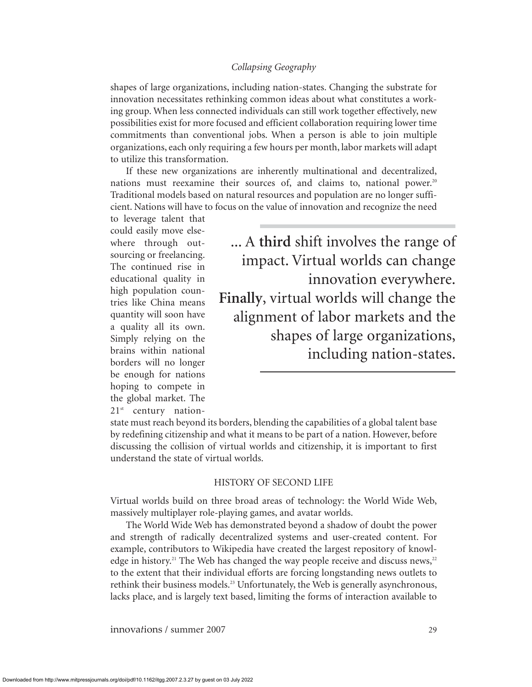shapes of large organizations, including nation-states. Changing the substrate for innovation necessitates rethinking common ideas about what constitutes a working group. When less connected individuals can still work together effectively, new possibilities exist for more focused and efficient collaboration requiring lower time commitments than conventional jobs. When a person is able to join multiple organizations, each only requiring a few hours per month, labor markets will adapt to utilize this transformation.

If these new organizations are inherently multinational and decentralized, nations must reexamine their sources of, and claims to, national power.<sup>20</sup> Traditional models based on natural resources and population are no longer sufficient. Nations will have to focus on the value of innovation and recognize the need

to leverage talent that could easily move elsewhere through outsourcing or freelancing. The continued rise in educational quality in high population countries like China means quantity will soon have a quality all its own. Simply relying on the brains within national borders will no longer be enough for nations hoping to compete in the global market. The 21<sup>st</sup> century nation-

... A **third** shift involves the range of impact. Virtual worlds can change innovation everywhere. **Finally**, virtual worlds will change the alignment of labor markets and the shapes of large organizations, including nation-states.

state must reach beyond its borders, blending the capabilities of a global talent base by redefining citizenship and what it means to be part of a nation. However, before discussing the collision of virtual worlds and citizenship, it is important to first understand the state of virtual worlds.

#### HISTORY OF SECOND LIFE

Virtual worlds build on three broad areas of technology: the World Wide Web, massively multiplayer role-playing games, and avatar worlds.

The World Wide Web has demonstrated beyond a shadow of doubt the power and strength of radically decentralized systems and user-created content. For example, contributors to Wikipedia have created the largest repository of knowledge in history.<sup>21</sup> The Web has changed the way people receive and discuss news,<sup>22</sup> to the extent that their individual efforts are forcing longstanding news outlets to rethink their business models.23 Unfortunately, the Web is generally asynchronous, lacks place, and is largely text based, limiting the forms of interaction available to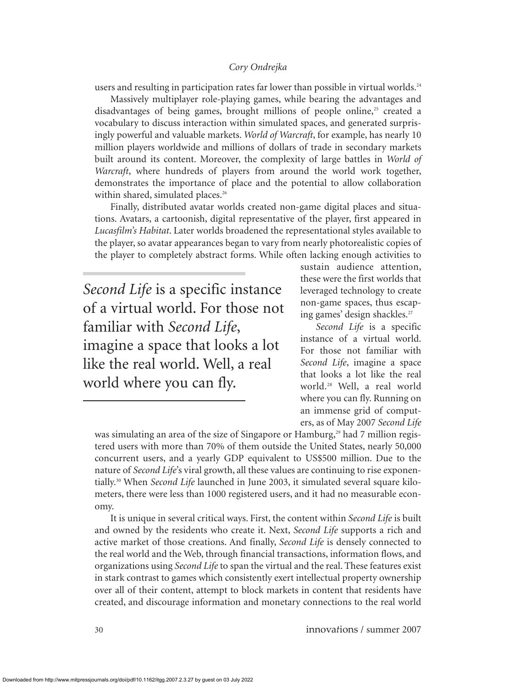users and resulting in participation rates far lower than possible in virtual worlds.<sup>24</sup>

Massively multiplayer role-playing games, while bearing the advantages and disadvantages of being games, brought millions of people online,<sup>25</sup> created a vocabulary to discuss interaction within simulated spaces, and generated surprisingly powerful and valuable markets. *World of Warcraft*, for example, has nearly 10 million players worldwide and millions of dollars of trade in secondary markets built around its content. Moreover, the complexity of large battles in *World of Warcraft*, where hundreds of players from around the world work together, demonstrates the importance of place and the potential to allow collaboration within shared, simulated places.<sup>26</sup>

Finally, distributed avatar worlds created non-game digital places and situations. Avatars, a cartoonish, digital representative of the player, first appeared in *Lucasfilm's Habitat*. Later worlds broadened the representational styles available to the player, so avatar appearances began to vary from nearly photorealistic copies of the player to completely abstract forms. While often lacking enough activities to

*Second Life* is a specific instance of a virtual world. For those not familiar with *Second Life*, imagine a space that looks a lot like the real world. Well, a real world where you can fly.

sustain audience attention, these were the first worlds that leveraged technology to create non-game spaces, thus escaping games' design shackles.<sup>27</sup>

*Second Life* is a specific instance of a virtual world. For those not familiar with *Second Life*, imagine a space that looks a lot like the real world.28 Well, a real world where you can fly. Running on an immense grid of computers, as of May 2007 *Second Life*

was simulating an area of the size of Singapore or Hamburg,<sup>29</sup> had 7 million registered users with more than 70% of them outside the United States, nearly 50,000 concurrent users, and a yearly GDP equivalent to US\$500 million. Due to the nature of *Second Life*'s viral growth, all these values are continuing to rise exponentially.30 When *Second Life* launched in June 2003, it simulated several square kilometers, there were less than 1000 registered users, and it had no measurable economy.

It is unique in several critical ways. First, the content within *Second Life* is built and owned by the residents who create it. Next, *Second Life* supports a rich and active market of those creations. And finally, *Second Life* is densely connected to the real world and the Web, through financial transactions, information flows, and organizations using *Second Life* to span the virtual and the real. These features exist in stark contrast to games which consistently exert intellectual property ownership over all of their content, attempt to block markets in content that residents have created, and discourage information and monetary connections to the real world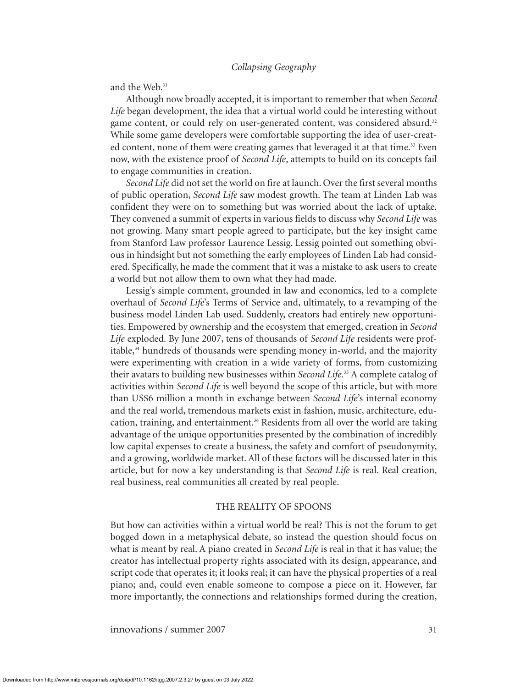and the Web.<sup>31</sup>

Although now broadly accepted, it is important to remember that when *Second Life* began development, the idea that a virtual world could be interesting without game content, or could rely on user-generated content, was considered absurd.<sup>32</sup> While some game developers were comfortable supporting the idea of user-created content, none of them were creating games that leveraged it at that time.<sup>33</sup> Even now, with the existence proof of *Second Life*, attempts to build on its concepts fail to engage communities in creation.

*Second Life* did not set the world on fire at launch. Over the first several months of public operation, *Second Life* saw modest growth. The team at Linden Lab was confident they were on to something but was worried about the lack of uptake. They convened a summit of experts in various fields to discuss why *Second Life* was not growing. Many smart people agreed to participate, but the key insight came from Stanford Law professor Laurence Lessig. Lessig pointed out something obvious in hindsight but not something the early employees of Linden Lab had considered. Specifically, he made the comment that it was a mistake to ask users to create a world but not allow them to own what they had made.

Lessig's simple comment, grounded in law and economics, led to a complete overhaul of *Second Life*'s Terms of Service and, ultimately, to a revamping of the business model Linden Lab used. Suddenly, creators had entirely new opportunities. Empowered by ownership and the ecosystem that emerged, creation in *Second Life* exploded. By June 2007, tens of thousands of *Second Life* residents were profitable,34 hundreds of thousands were spending money in-world, and the majority were experimenting with creation in a wide variety of forms, from customizing their avatars to building new businesses within *Second Life.*<sup>35</sup> A complete catalog of activities within *Second Life* is well beyond the scope of this article, but with more than US\$6 million a month in exchange between *Second Life*'s internal economy and the real world, tremendous markets exist in fashion, music, architecture, education, training, and entertainment.<sup>36</sup> Residents from all over the world are taking advantage of the unique opportunities presented by the combination of incredibly low capital expenses to create a business, the safety and comfort of pseudonymity, and a growing, worldwide market. All of these factors will be discussed later in this article, but for now a key understanding is that *Second Life* is real. Real creation, real business, real communities all created by real people.

### THE REALITY OF SPOONS

But how can activities within a virtual world be real? This is not the forum to get bogged down in a metaphysical debate, so instead the question should focus on what is meant by real. A piano created in *Second Life* is real in that it has value; the creator has intellectual property rights associated with its design, appearance, and script code that operates it; it looks real; it can have the physical properties of a real piano; and, could even enable someone to compose a piece on it. However, far more importantly, the connections and relationships formed during the creation,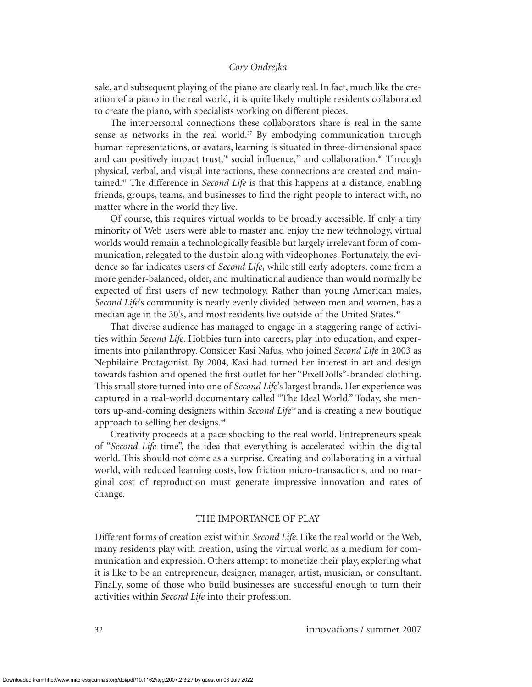sale, and subsequent playing of the piano are clearly real. In fact, much like the creation of a piano in the real world, it is quite likely multiple residents collaborated to create the piano, with specialists working on different pieces.

The interpersonal connections these collaborators share is real in the same sense as networks in the real world. $37$  By embodying communication through human representations, or avatars, learning is situated in three-dimensional space and can positively impact trust, $38$  social influence, $39$  and collaboration. $40$  Through physical, verbal, and visual interactions, these connections are created and maintained.41 The difference in *Second Life* is that this happens at a distance, enabling friends, groups, teams, and businesses to find the right people to interact with, no matter where in the world they live.

Of course, this requires virtual worlds to be broadly accessible. If only a tiny minority of Web users were able to master and enjoy the new technology, virtual worlds would remain a technologically feasible but largely irrelevant form of communication, relegated to the dustbin along with videophones. Fortunately, the evidence so far indicates users of *Second Life*, while still early adopters, come from a more gender-balanced, older, and multinational audience than would normally be expected of first users of new technology. Rather than young American males, *Second Life*'s community is nearly evenly divided between men and women, has a median age in the 30's, and most residents live outside of the United States.<sup>42</sup>

That diverse audience has managed to engage in a staggering range of activities within *Second Life*. Hobbies turn into careers, play into education, and experiments into philanthropy. Consider Kasi Nafus, who joined *Second Life* in 2003 as Nephilaine Protagonist. By 2004, Kasi had turned her interest in art and design towards fashion and opened the first outlet for her "PixelDolls"-branded clothing. This small store turned into one of *Second Life*'s largest brands. Her experience was captured in a real-world documentary called "The Ideal World." Today, she mentors up-and-coming designers within *Second Life<sup>43</sup>* and is creating a new boutique approach to selling her designs.<sup>44</sup>

Creativity proceeds at a pace shocking to the real world. Entrepreneurs speak of "*Second Life* time", the idea that everything is accelerated within the digital world. This should not come as a surprise. Creating and collaborating in a virtual world, with reduced learning costs, low friction micro-transactions, and no marginal cost of reproduction must generate impressive innovation and rates of change.

#### THE IMPORTANCE OF PLAY

Different forms of creation exist within *Second Life*. Like the real world or the Web, many residents play with creation, using the virtual world as a medium for communication and expression. Others attempt to monetize their play, exploring what it is like to be an entrepreneur, designer, manager, artist, musician, or consultant. Finally, some of those who build businesses are successful enough to turn their activities within *Second Life* into their profession.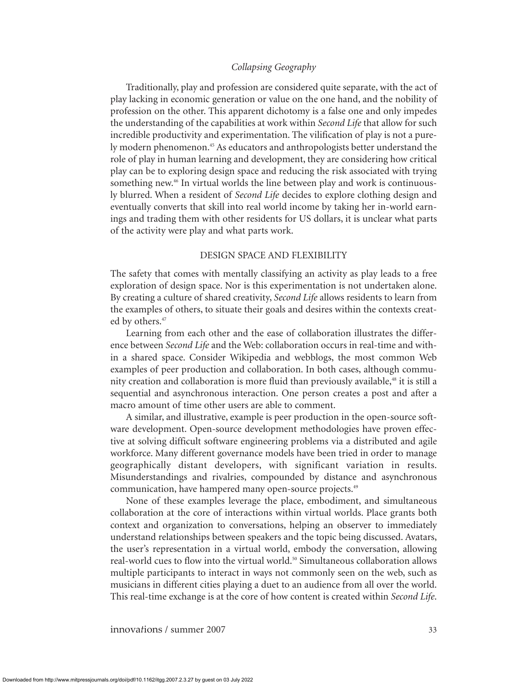Traditionally, play and profession are considered quite separate, with the act of play lacking in economic generation or value on the one hand, and the nobility of profession on the other. This apparent dichotomy is a false one and only impedes the understanding of the capabilities at work within *Second Life* that allow for such incredible productivity and experimentation. The vilification of play is not a purely modern phenomenon.45 As educators and anthropologists better understand the role of play in human learning and development, they are considering how critical play can be to exploring design space and reducing the risk associated with trying something new.<sup>46</sup> In virtual worlds the line between play and work is continuously blurred. When a resident of *Second Life* decides to explore clothing design and eventually converts that skill into real world income by taking her in-world earnings and trading them with other residents for US dollars, it is unclear what parts of the activity were play and what parts work.

#### DESIGN SPACE AND FLEXIBILITY

The safety that comes with mentally classifying an activity as play leads to a free exploration of design space. Nor is this experimentation is not undertaken alone. By creating a culture of shared creativity, *Second Life* allows residents to learn from the examples of others, to situate their goals and desires within the contexts created by others.<sup>47</sup>

Learning from each other and the ease of collaboration illustrates the difference between *Second Life* and the Web: collaboration occurs in real-time and within a shared space. Consider Wikipedia and webblogs, the most common Web examples of peer production and collaboration. In both cases, although community creation and collaboration is more fluid than previously available,48 it is still a sequential and asynchronous interaction. One person creates a post and after a macro amount of time other users are able to comment.

A similar, and illustrative, example is peer production in the open-source software development. Open-source development methodologies have proven effective at solving difficult software engineering problems via a distributed and agile workforce. Many different governance models have been tried in order to manage geographically distant developers, with significant variation in results. Misunderstandings and rivalries, compounded by distance and asynchronous communication, have hampered many open-source projects.<sup>49</sup>

None of these examples leverage the place, embodiment, and simultaneous collaboration at the core of interactions within virtual worlds. Place grants both context and organization to conversations, helping an observer to immediately understand relationships between speakers and the topic being discussed. Avatars, the user's representation in a virtual world, embody the conversation, allowing real-world cues to flow into the virtual world.<sup>50</sup> Simultaneous collaboration allows multiple participants to interact in ways not commonly seen on the web, such as musicians in different cities playing a duet to an audience from all over the world. This real-time exchange is at the core of how content is created within *Second Life*.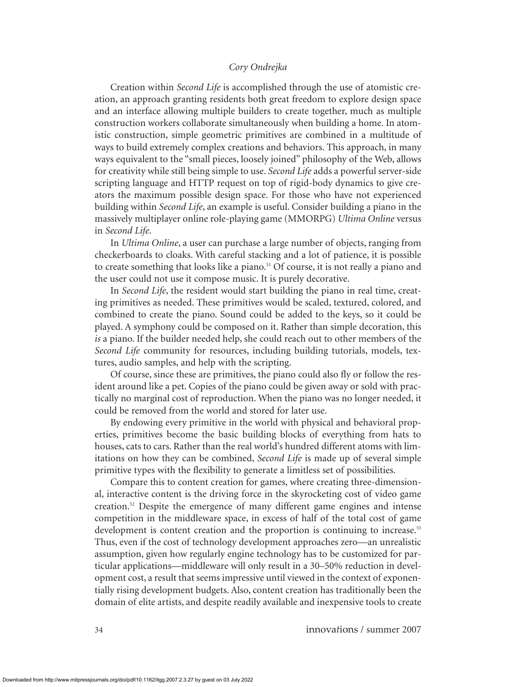Creation within *Second Life* is accomplished through the use of atomistic creation, an approach granting residents both great freedom to explore design space and an interface allowing multiple builders to create together, much as multiple construction workers collaborate simultaneously when building a home. In atomistic construction, simple geometric primitives are combined in a multitude of ways to build extremely complex creations and behaviors. This approach, in many ways equivalent to the "small pieces, loosely joined" philosophy of the Web, allows for creativity while still being simple to use. *Second Life* adds a powerful server-side scripting language and HTTP request on top of rigid-body dynamics to give creators the maximum possible design space. For those who have not experienced building within *Second Life*, an example is useful. Consider building a piano in the massively multiplayer online role-playing game (MMORPG) *Ultima Online* versus in *Second Life*.

In *Ultima Online*, a user can purchase a large number of objects, ranging from checkerboards to cloaks. With careful stacking and a lot of patience, it is possible to create something that looks like a piano.<sup>51</sup> Of course, it is not really a piano and the user could not use it compose music. It is purely decorative.

In *Second Life*, the resident would start building the piano in real time, creating primitives as needed. These primitives would be scaled, textured, colored, and combined to create the piano. Sound could be added to the keys, so it could be played. A symphony could be composed on it. Rather than simple decoration, this *is* a piano. If the builder needed help, she could reach out to other members of the *Second Life* community for resources, including building tutorials, models, textures, audio samples, and help with the scripting.

Of course, since these are primitives, the piano could also fly or follow the resident around like a pet. Copies of the piano could be given away or sold with practically no marginal cost of reproduction. When the piano was no longer needed, it could be removed from the world and stored for later use.

By endowing every primitive in the world with physical and behavioral properties, primitives become the basic building blocks of everything from hats to houses, cats to cars. Rather than the real world's hundred different atoms with limitations on how they can be combined, *Second Life* is made up of several simple primitive types with the flexibility to generate a limitless set of possibilities.

Compare this to content creation for games, where creating three-dimensional, interactive content is the driving force in the skyrocketing cost of video game creation.52 Despite the emergence of many different game engines and intense competition in the middleware space, in excess of half of the total cost of game development is content creation and the proportion is continuing to increase.<sup>53</sup> Thus, even if the cost of technology development approaches zero—an unrealistic assumption, given how regularly engine technology has to be customized for particular applications—middleware will only result in a 30–50% reduction in development cost, a result that seems impressive until viewed in the context of exponentially rising development budgets. Also, content creation has traditionally been the domain of elite artists, and despite readily available and inexpensive tools to create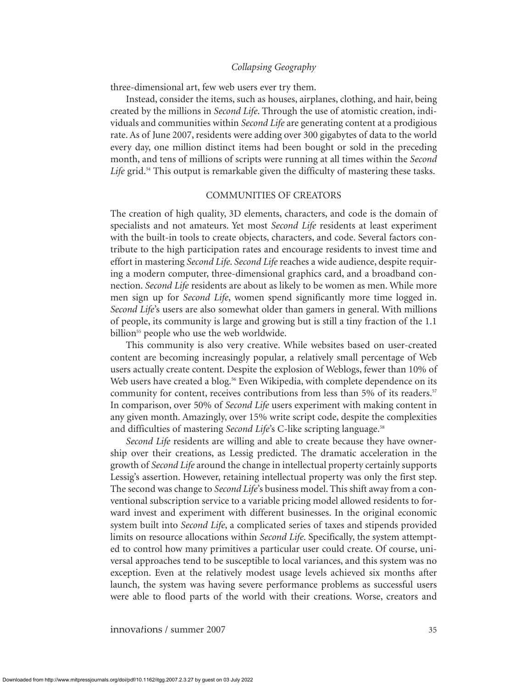three-dimensional art, few web users ever try them.

Instead, consider the items, such as houses, airplanes, clothing, and hair, being created by the millions in *Second Life*. Through the use of atomistic creation, individuals and communities within *Second Life* are generating content at a prodigious rate. As of June 2007, residents were adding over 300 gigabytes of data to the world every day, one million distinct items had been bought or sold in the preceding month, and tens of millions of scripts were running at all times within the *Second* Life grid.<sup>54</sup> This output is remarkable given the difficulty of mastering these tasks.

#### COMMUNITIES OF CREATORS

The creation of high quality, 3D elements, characters, and code is the domain of specialists and not amateurs. Yet most *Second Life* residents at least experiment with the built-in tools to create objects, characters, and code. Several factors contribute to the high participation rates and encourage residents to invest time and effort in mastering *Second Life*. *Second Life* reaches a wide audience, despite requiring a modern computer, three-dimensional graphics card, and a broadband connection. *Second Life* residents are about as likely to be women as men. While more men sign up for *Second Life*, women spend significantly more time logged in. *Second Life*'s users are also somewhat older than gamers in general. With millions of people, its community is large and growing but is still a tiny fraction of the 1.1 billion<sup>55</sup> people who use the web worldwide.

This community is also very creative. While websites based on user-created content are becoming increasingly popular, a relatively small percentage of Web users actually create content. Despite the explosion of Weblogs, fewer than 10% of Web users have created a blog.<sup>56</sup> Even Wikipedia, with complete dependence on its community for content, receives contributions from less than 5% of its readers.<sup>57</sup> In comparison, over 50% of *Second Life* users experiment with making content in any given month. Amazingly, over 15% write script code, despite the complexities and difficulties of mastering *Second Life's* C-like scripting language.<sup>58</sup>

*Second Life* residents are willing and able to create because they have ownership over their creations, as Lessig predicted. The dramatic acceleration in the growth of *Second Life* around the change in intellectual property certainly supports Lessig's assertion. However, retaining intellectual property was only the first step. The second was change to *Second Life*'s business model. This shift away from a conventional subscription service to a variable pricing model allowed residents to forward invest and experiment with different businesses. In the original economic system built into *Second Life*, a complicated series of taxes and stipends provided limits on resource allocations within *Second Life*. Specifically, the system attempted to control how many primitives a particular user could create. Of course, universal approaches tend to be susceptible to local variances, and this system was no exception. Even at the relatively modest usage levels achieved six months after launch, the system was having severe performance problems as successful users were able to flood parts of the world with their creations. Worse, creators and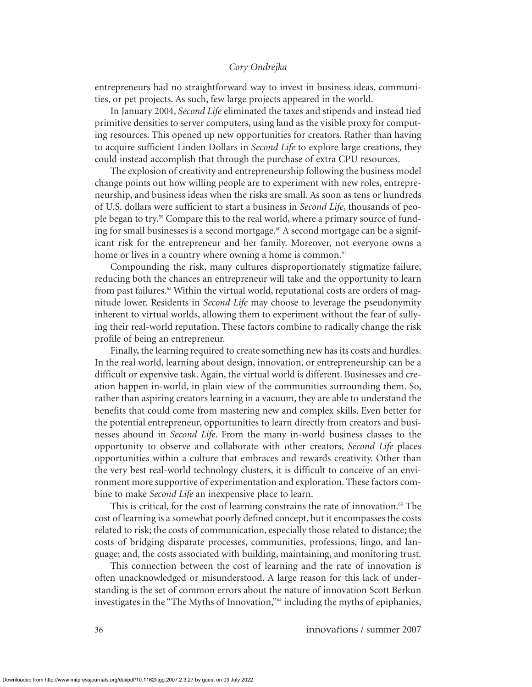entrepreneurs had no straightforward way to invest in business ideas, communities, or pet projects. As such, few large projects appeared in the world.

In January 2004, *Second Life* eliminated the taxes and stipends and instead tied primitive densities to server computers, using land as the visible proxy for computing resources. This opened up new opportunities for creators. Rather than having to acquire sufficient Linden Dollars in *Second Life* to explore large creations, they could instead accomplish that through the purchase of extra CPU resources.

The explosion of creativity and entrepreneurship following the business model change points out how willing people are to experiment with new roles, entrepreneurship, and business ideas when the risks are small. As soon as tens or hundreds of U.S. dollars were sufficient to start a business in *Second Life*, thousands of people began to try.<sup>59</sup> Compare this to the real world, where a primary source of funding for small businesses is a second mortgage.<sup>60</sup> A second mortgage can be a significant risk for the entrepreneur and her family. Moreover, not everyone owns a home or lives in a country where owning a home is common.<sup>61</sup>

Compounding the risk, many cultures disproportionately stigmatize failure, reducing both the chances an entrepreneur will take and the opportunity to learn from past failures.<sup>62</sup> Within the virtual world, reputational costs are orders of magnitude lower. Residents in *Second Life* may choose to leverage the pseudonymity inherent to virtual worlds, allowing them to experiment without the fear of sullying their real-world reputation. These factors combine to radically change the risk profile of being an entrepreneur.

Finally, the learning required to create something new has its costs and hurdles. In the real world, learning about design, innovation, or entrepreneurship can be a difficult or expensive task. Again, the virtual world is different. Businesses and creation happen in-world, in plain view of the communities surrounding them. So, rather than aspiring creators learning in a vacuum, they are able to understand the benefits that could come from mastering new and complex skills. Even better for the potential entrepreneur, opportunities to learn directly from creators and businesses abound in *Second Life*. From the many in-world business classes to the opportunity to observe and collaborate with other creators, *Second Life* places opportunities within a culture that embraces and rewards creativity. Other than the very best real-world technology clusters, it is difficult to conceive of an environment more supportive of experimentation and exploration. These factors combine to make *Second Life* an inexpensive place to learn.

This is critical, for the cost of learning constrains the rate of innovation. $63$  The cost of learning is a somewhat poorly defined concept, but it encompasses the costs related to risk; the costs of communication, especially those related to distance; the costs of bridging disparate processes, communities, professions, lingo, and language; and, the costs associated with building, maintaining, and monitoring trust.

This connection between the cost of learning and the rate of innovation is often unacknowledged or misunderstood. A large reason for this lack of understanding is the set of common errors about the nature of innovation Scott Berkun investigates in the "The Myths of Innovation,"64 including the myths of epiphanies,

36 innova*t*ions / summer 2007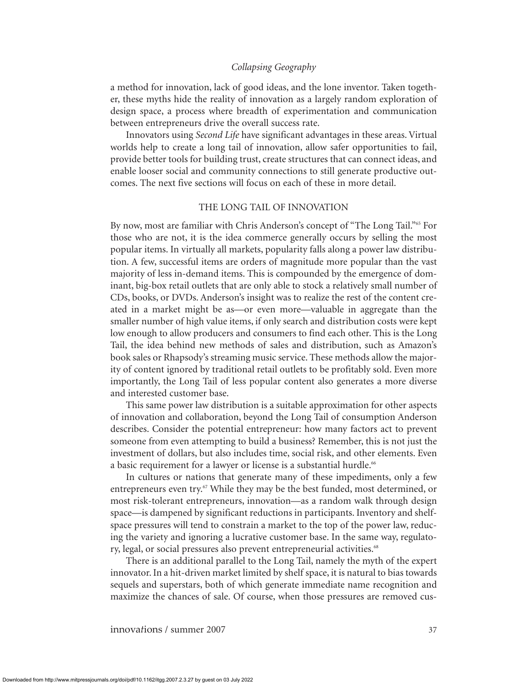a method for innovation, lack of good ideas, and the lone inventor. Taken together, these myths hide the reality of innovation as a largely random exploration of design space, a process where breadth of experimentation and communication between entrepreneurs drive the overall success rate.

Innovators using *Second Life* have significant advantages in these areas. Virtual worlds help to create a long tail of innovation, allow safer opportunities to fail, provide better tools for building trust, create structures that can connect ideas, and enable looser social and community connections to still generate productive outcomes. The next five sections will focus on each of these in more detail.

#### THE LONG TAIL OF INNOVATION

By now, most are familiar with Chris Anderson's concept of "The Long Tail."65 For those who are not, it is the idea commerce generally occurs by selling the most popular items. In virtually all markets, popularity falls along a power law distribution. A few, successful items are orders of magnitude more popular than the vast majority of less in-demand items. This is compounded by the emergence of dominant, big-box retail outlets that are only able to stock a relatively small number of CDs, books, or DVDs. Anderson's insight was to realize the rest of the content created in a market might be as—or even more—valuable in aggregate than the smaller number of high value items, if only search and distribution costs were kept low enough to allow producers and consumers to find each other. This is the Long Tail, the idea behind new methods of sales and distribution, such as Amazon's book sales or Rhapsody's streaming music service. These methods allow the majority of content ignored by traditional retail outlets to be profitably sold. Even more importantly, the Long Tail of less popular content also generates a more diverse and interested customer base.

This same power law distribution is a suitable approximation for other aspects of innovation and collaboration, beyond the Long Tail of consumption Anderson describes. Consider the potential entrepreneur: how many factors act to prevent someone from even attempting to build a business? Remember, this is not just the investment of dollars, but also includes time, social risk, and other elements. Even a basic requirement for a lawyer or license is a substantial hurdle.<sup>66</sup>

In cultures or nations that generate many of these impediments, only a few entrepreneurs even try. $67$  While they may be the best funded, most determined, or most risk-tolerant entrepreneurs, innovation—as a random walk through design space—is dampened by significant reductions in participants. Inventory and shelfspace pressures will tend to constrain a market to the top of the power law, reducing the variety and ignoring a lucrative customer base. In the same way, regulatory, legal, or social pressures also prevent entrepreneurial activities.<sup>68</sup>

There is an additional parallel to the Long Tail, namely the myth of the expert innovator. In a hit-driven market limited by shelf space, it is natural to bias towards sequels and superstars, both of which generate immediate name recognition and maximize the chances of sale. Of course, when those pressures are removed cus-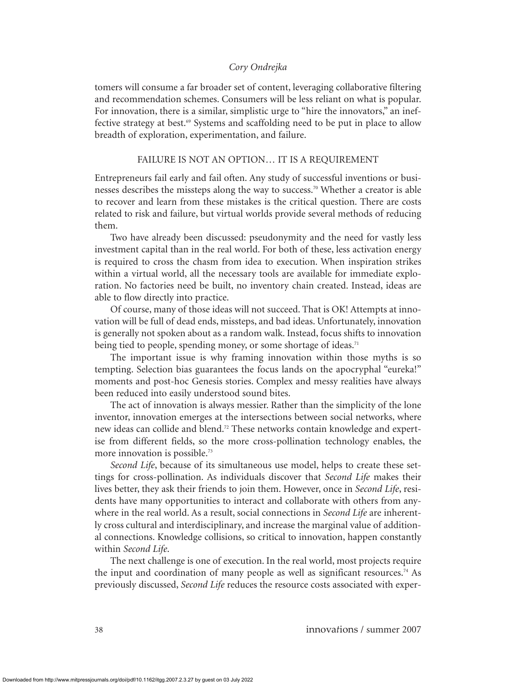tomers will consume a far broader set of content, leveraging collaborative filtering and recommendation schemes. Consumers will be less reliant on what is popular. For innovation, there is a similar, simplistic urge to "hire the innovators," an ineffective strategy at best.<sup>69</sup> Systems and scaffolding need to be put in place to allow breadth of exploration, experimentation, and failure.

#### FAILURE IS NOT AN OPTION… IT IS A REQUIREMENT

Entrepreneurs fail early and fail often. Any study of successful inventions or businesses describes the missteps along the way to success.70 Whether a creator is able to recover and learn from these mistakes is the critical question. There are costs related to risk and failure, but virtual worlds provide several methods of reducing them.

Two have already been discussed: pseudonymity and the need for vastly less investment capital than in the real world. For both of these, less activation energy is required to cross the chasm from idea to execution. When inspiration strikes within a virtual world, all the necessary tools are available for immediate exploration. No factories need be built, no inventory chain created. Instead, ideas are able to flow directly into practice.

Of course, many of those ideas will not succeed. That is OK! Attempts at innovation will be full of dead ends, missteps, and bad ideas. Unfortunately, innovation is generally not spoken about as a random walk. Instead, focus shifts to innovation being tied to people, spending money, or some shortage of ideas.<sup>71</sup>

The important issue is why framing innovation within those myths is so tempting. Selection bias guarantees the focus lands on the apocryphal "eureka!" moments and post-hoc Genesis stories. Complex and messy realities have always been reduced into easily understood sound bites.

The act of innovation is always messier. Rather than the simplicity of the lone inventor, innovation emerges at the intersections between social networks, where new ideas can collide and blend.<sup>72</sup> These networks contain knowledge and expertise from different fields, so the more cross-pollination technology enables, the more innovation is possible.<sup>73</sup>

*Second Life*, because of its simultaneous use model, helps to create these settings for cross-pollination. As individuals discover that *Second Life* makes their lives better, they ask their friends to join them. However, once in *Second Life*, residents have many opportunities to interact and collaborate with others from anywhere in the real world. As a result, social connections in *Second Life* are inherently cross cultural and interdisciplinary, and increase the marginal value of additional connections. Knowledge collisions, so critical to innovation, happen constantly within *Second Life*.

The next challenge is one of execution. In the real world, most projects require the input and coordination of many people as well as significant resources.<sup>74</sup> As previously discussed, *Second Life* reduces the resource costs associated with exper-

38 innova*t*ions / summer 2007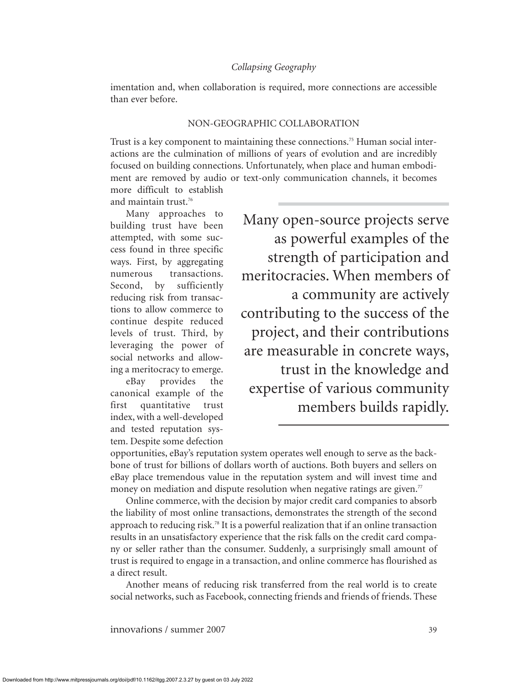imentation and, when collaboration is required, more connections are accessible than ever before.

#### NON-GEOGRAPHIC COLLABORATION

Trust is a key component to maintaining these connections.75 Human social interactions are the culmination of millions of years of evolution and are incredibly focused on building connections. Unfortunately, when place and human embodiment are removed by audio or text-only communication channels, it becomes

more difficult to establish and maintain trust.<sup>76</sup>

Many approaches to building trust have been attempted, with some success found in three specific ways. First, by aggregating numerous transactions. Second, by sufficiently reducing risk from transactions to allow commerce to continue despite reduced levels of trust. Third, by leveraging the power of social networks and allowing a meritocracy to emerge.

eBay provides the canonical example of the first quantitative trust index, with a well-developed and tested reputation system. Despite some defection

Many open-source projects serve as powerful examples of the strength of participation and meritocracies. When members of a community are actively contributing to the success of the project, and their contributions are measurable in concrete ways, trust in the knowledge and expertise of various community members builds rapidly.

opportunities, eBay's reputation system operates well enough to serve as the backbone of trust for billions of dollars worth of auctions. Both buyers and sellers on eBay place tremendous value in the reputation system and will invest time and money on mediation and dispute resolution when negative ratings are given.<sup>77</sup>

Online commerce, with the decision by major credit card companies to absorb the liability of most online transactions, demonstrates the strength of the second approach to reducing risk.78 It is a powerful realization that if an online transaction results in an unsatisfactory experience that the risk falls on the credit card company or seller rather than the consumer. Suddenly, a surprisingly small amount of trust is required to engage in a transaction, and online commerce has flourished as a direct result.

Another means of reducing risk transferred from the real world is to create social networks, such as Facebook, connecting friends and friends of friends. These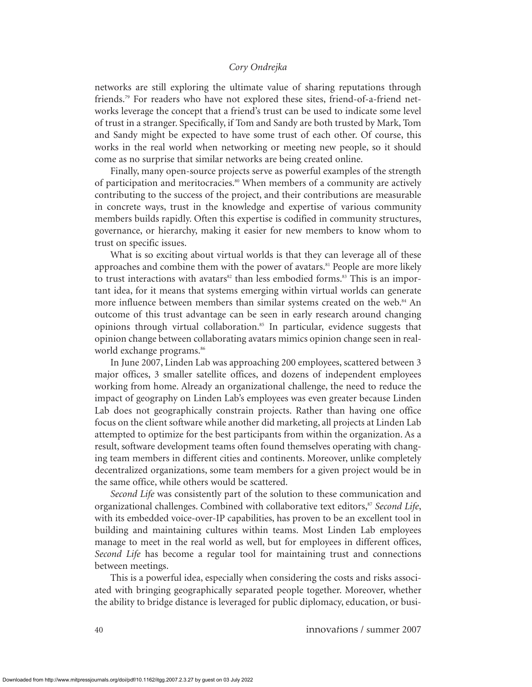networks are still exploring the ultimate value of sharing reputations through friends.79 For readers who have not explored these sites, friend-of-a-friend networks leverage the concept that a friend's trust can be used to indicate some level of trust in a stranger. Specifically, if Tom and Sandy are both trusted by Mark, Tom and Sandy might be expected to have some trust of each other. Of course, this works in the real world when networking or meeting new people, so it should come as no surprise that similar networks are being created online.

Finally, many open-source projects serve as powerful examples of the strength of participation and meritocracies.<sup>80</sup> When members of a community are actively contributing to the success of the project, and their contributions are measurable in concrete ways, trust in the knowledge and expertise of various community members builds rapidly. Often this expertise is codified in community structures, governance, or hierarchy, making it easier for new members to know whom to trust on specific issues.

What is so exciting about virtual worlds is that they can leverage all of these approaches and combine them with the power of avatars.<sup>81</sup> People are more likely to trust interactions with avatars $82$  than less embodied forms. $83$  This is an important idea, for it means that systems emerging within virtual worlds can generate more influence between members than similar systems created on the web.<sup>84</sup> An outcome of this trust advantage can be seen in early research around changing opinions through virtual collaboration.<sup>85</sup> In particular, evidence suggests that opinion change between collaborating avatars mimics opinion change seen in realworld exchange programs.<sup>86</sup>

In June 2007, Linden Lab was approaching 200 employees, scattered between 3 major offices, 3 smaller satellite offices, and dozens of independent employees working from home. Already an organizational challenge, the need to reduce the impact of geography on Linden Lab's employees was even greater because Linden Lab does not geographically constrain projects. Rather than having one office focus on the client software while another did marketing, all projects at Linden Lab attempted to optimize for the best participants from within the organization. As a result, software development teams often found themselves operating with changing team members in different cities and continents. Moreover, unlike completely decentralized organizations, some team members for a given project would be in the same office, while others would be scattered.

*Second Life* was consistently part of the solution to these communication and organizational challenges. Combined with collaborative text editors,<sup>87</sup> *Second Life*, with its embedded voice-over-IP capabilities, has proven to be an excellent tool in building and maintaining cultures within teams. Most Linden Lab employees manage to meet in the real world as well, but for employees in different offices, *Second Life* has become a regular tool for maintaining trust and connections between meetings.

This is a powerful idea, especially when considering the costs and risks associated with bringing geographically separated people together. Moreover, whether the ability to bridge distance is leveraged for public diplomacy, education, or busi-

40 innova*t*ions / summer 2007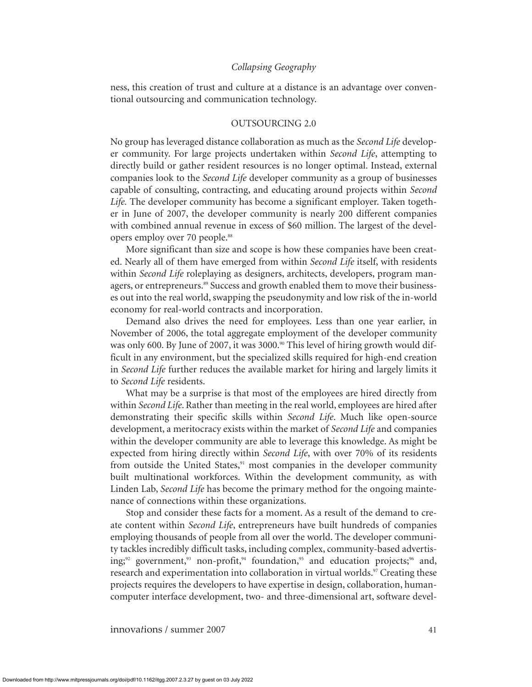ness, this creation of trust and culture at a distance is an advantage over conventional outsourcing and communication technology.

#### OUTSOURCING 2.0

No group has leveraged distance collaboration as much as the *Second Life* developer community. For large projects undertaken within *Second Life*, attempting to directly build or gather resident resources is no longer optimal. Instead, external companies look to the *Second Life* developer community as a group of businesses capable of consulting, contracting, and educating around projects within *Second Life.* The developer community has become a significant employer. Taken together in June of 2007, the developer community is nearly 200 different companies with combined annual revenue in excess of \$60 million. The largest of the developers employ over 70 people.<sup>88</sup>

More significant than size and scope is how these companies have been created. Nearly all of them have emerged from within *Second Life* itself, with residents within *Second Life* roleplaying as designers, architects, developers, program managers, or entrepreneurs.<sup>89</sup> Success and growth enabled them to move their businesses out into the real world, swapping the pseudonymity and low risk of the in-world economy for real-world contracts and incorporation.

Demand also drives the need for employees. Less than one year earlier, in November of 2006, the total aggregate employment of the developer community was only 600. By June of 2007, it was  $3000.^{\circ}$  This level of hiring growth would difficult in any environment, but the specialized skills required for high-end creation in *Second Life* further reduces the available market for hiring and largely limits it to *Second Life* residents.

What may be a surprise is that most of the employees are hired directly from within *Second Life*. Rather than meeting in the real world, employees are hired after demonstrating their specific skills within *Second Life*. Much like open-source development, a meritocracy exists within the market of *Second Life* and companies within the developer community are able to leverage this knowledge. As might be expected from hiring directly within *Second Life*, with over 70% of its residents from outside the United States,<sup>91</sup> most companies in the developer community built multinational workforces. Within the development community, as with Linden Lab, *Second Life* has become the primary method for the ongoing maintenance of connections within these organizations.

Stop and consider these facts for a moment. As a result of the demand to create content within *Second Life*, entrepreneurs have built hundreds of companies employing thousands of people from all over the world. The developer community tackles incredibly difficult tasks, including complex, community-based advertising;<sup>92</sup> government,<sup>93</sup> non-profit,<sup>94</sup> foundation,<sup>95</sup> and education projects;<sup>96</sup> and, research and experimentation into collaboration in virtual worlds.<sup>97</sup> Creating these projects requires the developers to have expertise in design, collaboration, humancomputer interface development, two- and three-dimensional art, software devel-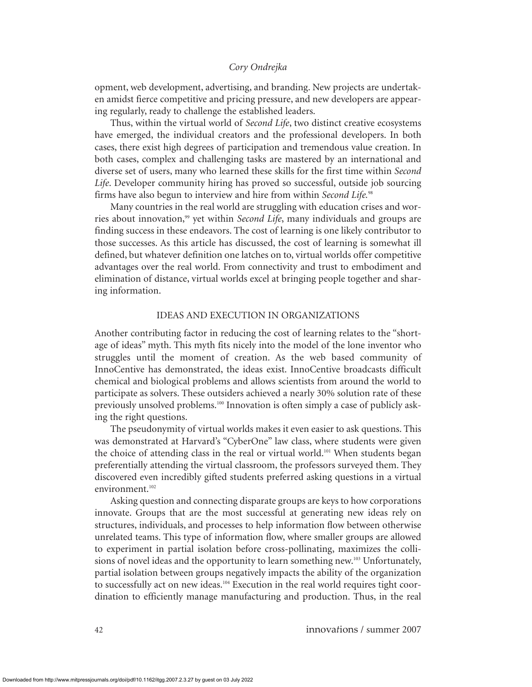opment, web development, advertising, and branding. New projects are undertaken amidst fierce competitive and pricing pressure, and new developers are appearing regularly, ready to challenge the established leaders.

Thus, within the virtual world of *Second Life*, two distinct creative ecosystems have emerged, the individual creators and the professional developers. In both cases, there exist high degrees of participation and tremendous value creation. In both cases, complex and challenging tasks are mastered by an international and diverse set of users, many who learned these skills for the first time within *Second Life*. Developer community hiring has proved so successful, outside job sourcing firms have also begun to interview and hire from within *Second Life.*<sup>98</sup>

Many countries in the real world are struggling with education crises and worries about innovation,<sup>99</sup> yet within *Second Life*, many individuals and groups are finding success in these endeavors. The cost of learning is one likely contributor to those successes. As this article has discussed, the cost of learning is somewhat ill defined, but whatever definition one latches on to, virtual worlds offer competitive advantages over the real world. From connectivity and trust to embodiment and elimination of distance, virtual worlds excel at bringing people together and sharing information.

#### IDEAS AND EXECUTION IN ORGANIZATIONS

Another contributing factor in reducing the cost of learning relates to the "shortage of ideas" myth. This myth fits nicely into the model of the lone inventor who struggles until the moment of creation. As the web based community of InnoCentive has demonstrated, the ideas exist. InnoCentive broadcasts difficult chemical and biological problems and allows scientists from around the world to participate as solvers. These outsiders achieved a nearly 30% solution rate of these previously unsolved problems.<sup>100</sup> Innovation is often simply a case of publicly asking the right questions.

The pseudonymity of virtual worlds makes it even easier to ask questions. This was demonstrated at Harvard's "CyberOne" law class, where students were given the choice of attending class in the real or virtual world.<sup>101</sup> When students began preferentially attending the virtual classroom, the professors surveyed them. They discovered even incredibly gifted students preferred asking questions in a virtual environment.<sup>102</sup>

Asking question and connecting disparate groups are keys to how corporations innovate. Groups that are the most successful at generating new ideas rely on structures, individuals, and processes to help information flow between otherwise unrelated teams. This type of information flow, where smaller groups are allowed to experiment in partial isolation before cross-pollinating, maximizes the collisions of novel ideas and the opportunity to learn something new.<sup>103</sup> Unfortunately, partial isolation between groups negatively impacts the ability of the organization to successfully act on new ideas.<sup>104</sup> Execution in the real world requires tight coordination to efficiently manage manufacturing and production. Thus, in the real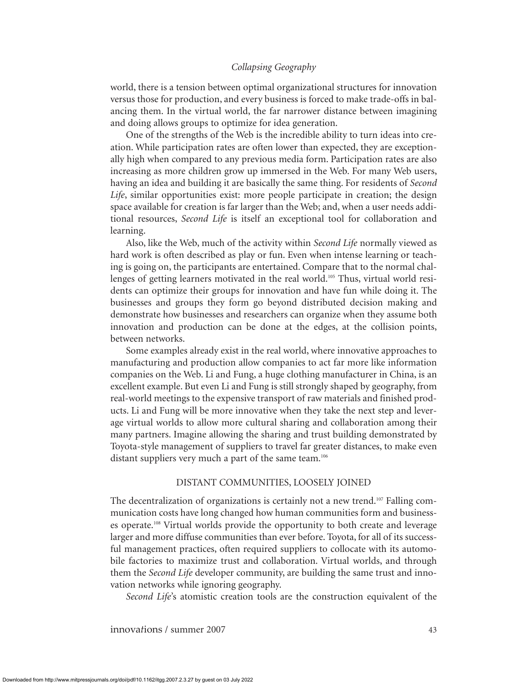world, there is a tension between optimal organizational structures for innovation versus those for production, and every business is forced to make trade-offs in balancing them. In the virtual world, the far narrower distance between imagining and doing allows groups to optimize for idea generation.

One of the strengths of the Web is the incredible ability to turn ideas into creation. While participation rates are often lower than expected, they are exceptionally high when compared to any previous media form. Participation rates are also increasing as more children grow up immersed in the Web. For many Web users, having an idea and building it are basically the same thing. For residents of *Second Life*, similar opportunities exist: more people participate in creation; the design space available for creation is far larger than the Web; and, when a user needs additional resources, *Second Life* is itself an exceptional tool for collaboration and learning.

Also, like the Web, much of the activity within *Second Life* normally viewed as hard work is often described as play or fun. Even when intense learning or teaching is going on, the participants are entertained. Compare that to the normal challenges of getting learners motivated in the real world.<sup>105</sup> Thus, virtual world residents can optimize their groups for innovation and have fun while doing it. The businesses and groups they form go beyond distributed decision making and demonstrate how businesses and researchers can organize when they assume both innovation and production can be done at the edges, at the collision points, between networks.

Some examples already exist in the real world, where innovative approaches to manufacturing and production allow companies to act far more like information companies on the Web. Li and Fung, a huge clothing manufacturer in China, is an excellent example. But even Li and Fung is still strongly shaped by geography, from real-world meetings to the expensive transport of raw materials and finished products. Li and Fung will be more innovative when they take the next step and leverage virtual worlds to allow more cultural sharing and collaboration among their many partners. Imagine allowing the sharing and trust building demonstrated by Toyota-style management of suppliers to travel far greater distances, to make even distant suppliers very much a part of the same team.<sup>106</sup>

#### DISTANT COMMUNITIES, LOOSELY JOINED

The decentralization of organizations is certainly not a new trend.<sup>107</sup> Falling communication costs have long changed how human communities form and businesses operate.108 Virtual worlds provide the opportunity to both create and leverage larger and more diffuse communities than ever before. Toyota, for all of its successful management practices, often required suppliers to collocate with its automobile factories to maximize trust and collaboration. Virtual worlds, and through them the *Second Life* developer community, are building the same trust and innovation networks while ignoring geography.

*Second Life*'s atomistic creation tools are the construction equivalent of the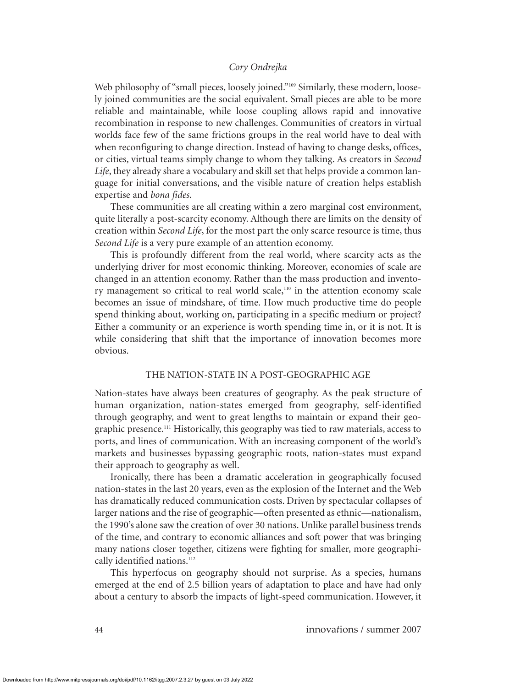Web philosophy of "small pieces, loosely joined."<sup>109</sup> Similarly, these modern, loosely joined communities are the social equivalent. Small pieces are able to be more reliable and maintainable, while loose coupling allows rapid and innovative recombination in response to new challenges. Communities of creators in virtual worlds face few of the same frictions groups in the real world have to deal with when reconfiguring to change direction. Instead of having to change desks, offices, or cities, virtual teams simply change to whom they talking. As creators in *Second Life*, they already share a vocabulary and skill set that helps provide a common language for initial conversations, and the visible nature of creation helps establish expertise and *bona fides*.

These communities are all creating within a zero marginal cost environment, quite literally a post-scarcity economy. Although there are limits on the density of creation within *Second Life*, for the most part the only scarce resource is time, thus *Second Life* is a very pure example of an attention economy.

This is profoundly different from the real world, where scarcity acts as the underlying driver for most economic thinking. Moreover, economies of scale are changed in an attention economy. Rather than the mass production and inventory management so critical to real world scale,<sup>110</sup> in the attention economy scale becomes an issue of mindshare, of time. How much productive time do people spend thinking about, working on, participating in a specific medium or project? Either a community or an experience is worth spending time in, or it is not. It is while considering that shift that the importance of innovation becomes more obvious.

#### THE NATION-STATE IN A POST-GEOGRAPHIC AGE

Nation-states have always been creatures of geography. As the peak structure of human organization, nation-states emerged from geography, self-identified through geography, and went to great lengths to maintain or expand their geographic presence.111 Historically, this geography was tied to raw materials, access to ports, and lines of communication. With an increasing component of the world's markets and businesses bypassing geographic roots, nation-states must expand their approach to geography as well.

Ironically, there has been a dramatic acceleration in geographically focused nation-states in the last 20 years, even as the explosion of the Internet and the Web has dramatically reduced communication costs. Driven by spectacular collapses of larger nations and the rise of geographic—often presented as ethnic—nationalism, the 1990's alone saw the creation of over 30 nations. Unlike parallel business trends of the time, and contrary to economic alliances and soft power that was bringing many nations closer together, citizens were fighting for smaller, more geographically identified nations.<sup>112</sup>

This hyperfocus on geography should not surprise. As a species, humans emerged at the end of 2.5 billion years of adaptation to place and have had only about a century to absorb the impacts of light-speed communication. However, it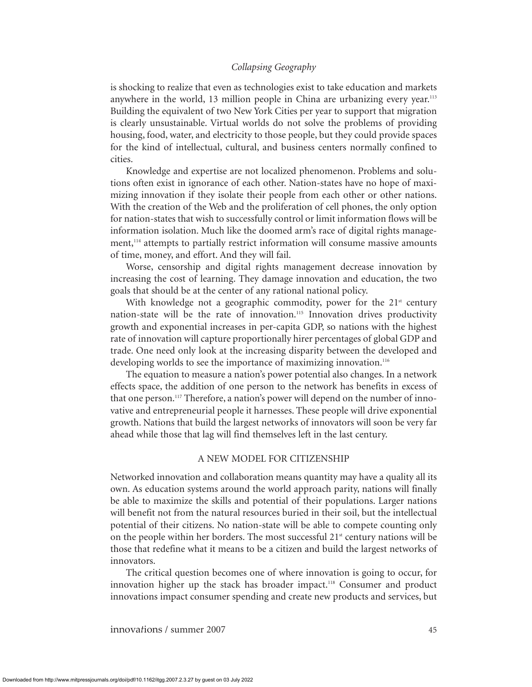is shocking to realize that even as technologies exist to take education and markets anywhere in the world, 13 million people in China are urbanizing every year.<sup>113</sup> Building the equivalent of two New York Cities per year to support that migration is clearly unsustainable. Virtual worlds do not solve the problems of providing housing, food, water, and electricity to those people, but they could provide spaces for the kind of intellectual, cultural, and business centers normally confined to cities.

Knowledge and expertise are not localized phenomenon. Problems and solutions often exist in ignorance of each other. Nation-states have no hope of maximizing innovation if they isolate their people from each other or other nations. With the creation of the Web and the proliferation of cell phones, the only option for nation-states that wish to successfully control or limit information flows will be information isolation. Much like the doomed arm's race of digital rights management,<sup>114</sup> attempts to partially restrict information will consume massive amounts of time, money, and effort. And they will fail.

Worse, censorship and digital rights management decrease innovation by increasing the cost of learning. They damage innovation and education, the two goals that should be at the center of any rational national policy.

With knowledge not a geographic commodity, power for the  $21<sup>st</sup>$  century nation-state will be the rate of innovation.<sup>115</sup> Innovation drives productivity growth and exponential increases in per-capita GDP, so nations with the highest rate of innovation will capture proportionally hirer percentages of global GDP and trade. One need only look at the increasing disparity between the developed and developing worlds to see the importance of maximizing innovation.<sup>116</sup>

The equation to measure a nation's power potential also changes. In a network effects space, the addition of one person to the network has benefits in excess of that one person.117 Therefore, a nation's power will depend on the number of innovative and entrepreneurial people it harnesses. These people will drive exponential growth. Nations that build the largest networks of innovators will soon be very far ahead while those that lag will find themselves left in the last century.

#### A NEW MODEL FOR CITIZENSHIP

Networked innovation and collaboration means quantity may have a quality all its own. As education systems around the world approach parity, nations will finally be able to maximize the skills and potential of their populations. Larger nations will benefit not from the natural resources buried in their soil, but the intellectual potential of their citizens. No nation-state will be able to compete counting only on the people within her borders. The most successful  $21<sup>st</sup>$  century nations will be those that redefine what it means to be a citizen and build the largest networks of innovators.

The critical question becomes one of where innovation is going to occur, for innovation higher up the stack has broader impact.<sup>118</sup> Consumer and product innovations impact consumer spending and create new products and services, but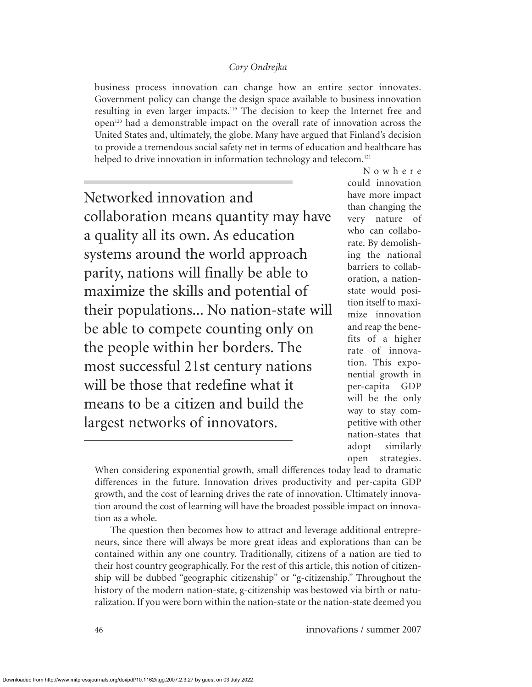business process innovation can change how an entire sector innovates. Government policy can change the design space available to business innovation resulting in even larger impacts.119 The decision to keep the Internet free and open120 had a demonstrable impact on the overall rate of innovation across the United States and, ultimately, the globe. Many have argued that Finland's decision to provide a tremendous social safety net in terms of education and healthcare has helped to drive innovation in information technology and telecom.<sup>121</sup>

Networked innovation and collaboration means quantity may have a quality all its own. As education systems around the world approach parity, nations will finally be able to maximize the skills and potential of their populations... No nation-state will be able to compete counting only on the people within her borders. The most successful 21st century nations will be those that redefine what it means to be a citizen and build the largest networks of innovators.

Nowhere could innovation have more impact than changing the very nature of who can collaborate. By demolishing the national barriers to collaboration, a nationstate would position itself to maximize innovation and reap the benefits of a higher rate of innovation. This exponential growth in per-capita GDP will be the only way to stay competitive with other nation-states that adopt similarly open strategies.

When considering exponential growth, small differences today lead to dramatic differences in the future. Innovation drives productivity and per-capita GDP growth, and the cost of learning drives the rate of innovation. Ultimately innovation around the cost of learning will have the broadest possible impact on innovation as a whole.

The question then becomes how to attract and leverage additional entrepreneurs, since there will always be more great ideas and explorations than can be contained within any one country. Traditionally, citizens of a nation are tied to their host country geographically. For the rest of this article, this notion of citizenship will be dubbed "geographic citizenship" or "g-citizenship." Throughout the history of the modern nation-state, g-citizenship was bestowed via birth or naturalization. If you were born within the nation-state or the nation-state deemed you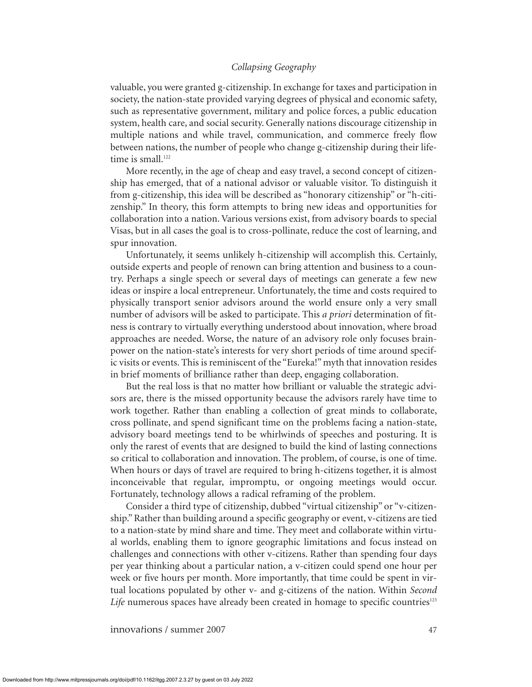valuable, you were granted g-citizenship. In exchange for taxes and participation in society, the nation-state provided varying degrees of physical and economic safety, such as representative government, military and police forces, a public education system, health care, and social security. Generally nations discourage citizenship in multiple nations and while travel, communication, and commerce freely flow between nations, the number of people who change g-citizenship during their lifetime is small.<sup>122</sup>

More recently, in the age of cheap and easy travel, a second concept of citizenship has emerged, that of a national advisor or valuable visitor. To distinguish it from g-citizenship, this idea will be described as "honorary citizenship" or "h-citizenship." In theory, this form attempts to bring new ideas and opportunities for collaboration into a nation. Various versions exist, from advisory boards to special Visas, but in all cases the goal is to cross-pollinate, reduce the cost of learning, and spur innovation.

Unfortunately, it seems unlikely h-citizenship will accomplish this. Certainly, outside experts and people of renown can bring attention and business to a country. Perhaps a single speech or several days of meetings can generate a few new ideas or inspire a local entrepreneur. Unfortunately, the time and costs required to physically transport senior advisors around the world ensure only a very small number of advisors will be asked to participate. This *a priori* determination of fitness is contrary to virtually everything understood about innovation, where broad approaches are needed. Worse, the nature of an advisory role only focuses brainpower on the nation-state's interests for very short periods of time around specific visits or events. This is reminiscent of the "Eureka!" myth that innovation resides in brief moments of brilliance rather than deep, engaging collaboration.

But the real loss is that no matter how brilliant or valuable the strategic advisors are, there is the missed opportunity because the advisors rarely have time to work together. Rather than enabling a collection of great minds to collaborate, cross pollinate, and spend significant time on the problems facing a nation-state, advisory board meetings tend to be whirlwinds of speeches and posturing. It is only the rarest of events that are designed to build the kind of lasting connections so critical to collaboration and innovation. The problem, of course, is one of time. When hours or days of travel are required to bring h-citizens together, it is almost inconceivable that regular, impromptu, or ongoing meetings would occur. Fortunately, technology allows a radical reframing of the problem.

Consider a third type of citizenship, dubbed "virtual citizenship" or "v-citizenship." Rather than building around a specific geography or event, v-citizens are tied to a nation-state by mind share and time. They meet and collaborate within virtual worlds, enabling them to ignore geographic limitations and focus instead on challenges and connections with other v-citizens. Rather than spending four days per year thinking about a particular nation, a v-citizen could spend one hour per week or five hours per month. More importantly, that time could be spent in virtual locations populated by other v- and g-citizens of the nation. Within *Second* Life numerous spaces have already been created in homage to specific countries<sup>123</sup>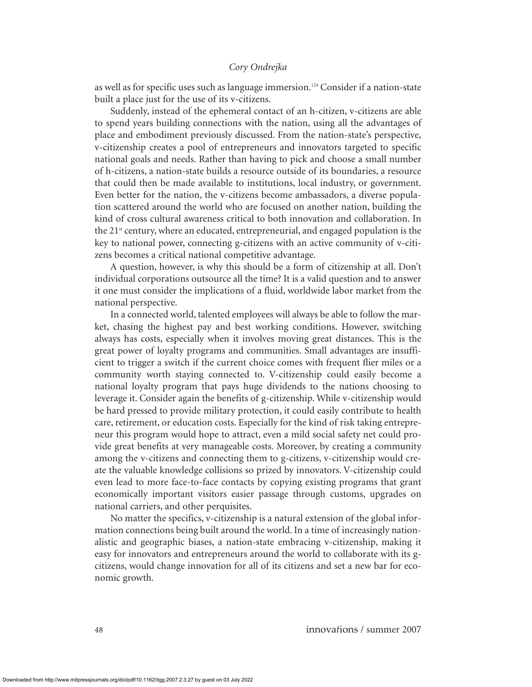as well as for specific uses such as language immersion.<sup>124</sup> Consider if a nation-state built a place just for the use of its v-citizens.

Suddenly, instead of the ephemeral contact of an h-citizen, v-citizens are able to spend years building connections with the nation, using all the advantages of place and embodiment previously discussed. From the nation-state's perspective, v-citizenship creates a pool of entrepreneurs and innovators targeted to specific national goals and needs. Rather than having to pick and choose a small number of h-citizens, a nation-state builds a resource outside of its boundaries, a resource that could then be made available to institutions, local industry, or government. Even better for the nation, the v-citizens become ambassadors, a diverse population scattered around the world who are focused on another nation, building the kind of cross cultural awareness critical to both innovation and collaboration. In the  $21<sup>st</sup>$  century, where an educated, entrepreneurial, and engaged population is the key to national power, connecting g-citizens with an active community of v-citizens becomes a critical national competitive advantage.

A question, however, is why this should be a form of citizenship at all. Don't individual corporations outsource all the time? It is a valid question and to answer it one must consider the implications of a fluid, worldwide labor market from the national perspective.

In a connected world, talented employees will always be able to follow the market, chasing the highest pay and best working conditions. However, switching always has costs, especially when it involves moving great distances. This is the great power of loyalty programs and communities. Small advantages are insufficient to trigger a switch if the current choice comes with frequent flier miles or a community worth staying connected to. V-citizenship could easily become a national loyalty program that pays huge dividends to the nations choosing to leverage it. Consider again the benefits of g-citizenship. While v-citizenship would be hard pressed to provide military protection, it could easily contribute to health care, retirement, or education costs. Especially for the kind of risk taking entrepreneur this program would hope to attract, even a mild social safety net could provide great benefits at very manageable costs. Moreover, by creating a community among the v-citizens and connecting them to g-citizens, v-citizenship would create the valuable knowledge collisions so prized by innovators. V-citizenship could even lead to more face-to-face contacts by copying existing programs that grant economically important visitors easier passage through customs, upgrades on national carriers, and other perquisites.

No matter the specifics, v-citizenship is a natural extension of the global information connections being built around the world. In a time of increasingly nationalistic and geographic biases, a nation-state embracing v-citizenship, making it easy for innovators and entrepreneurs around the world to collaborate with its gcitizens, would change innovation for all of its citizens and set a new bar for economic growth.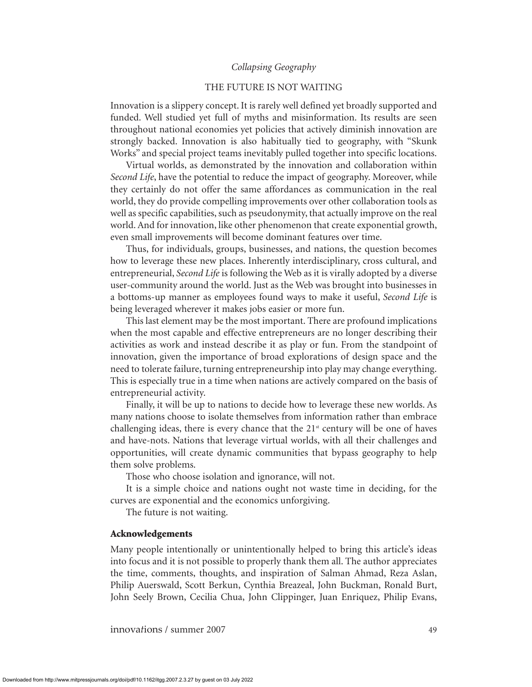#### THE FUTURE IS NOT WAITING

Innovation is a slippery concept. It is rarely well defined yet broadly supported and funded. Well studied yet full of myths and misinformation. Its results are seen throughout national economies yet policies that actively diminish innovation are strongly backed. Innovation is also habitually tied to geography, with "Skunk Works" and special project teams inevitably pulled together into specific locations.

Virtual worlds, as demonstrated by the innovation and collaboration within *Second Life*, have the potential to reduce the impact of geography. Moreover, while they certainly do not offer the same affordances as communication in the real world, they do provide compelling improvements over other collaboration tools as well as specific capabilities, such as pseudonymity, that actually improve on the real world. And for innovation, like other phenomenon that create exponential growth, even small improvements will become dominant features over time.

Thus, for individuals, groups, businesses, and nations, the question becomes how to leverage these new places. Inherently interdisciplinary, cross cultural, and entrepreneurial, *Second Life* is following the Web as it is virally adopted by a diverse user-community around the world. Just as the Web was brought into businesses in a bottoms-up manner as employees found ways to make it useful, *Second Life* is being leveraged wherever it makes jobs easier or more fun.

This last element may be the most important. There are profound implications when the most capable and effective entrepreneurs are no longer describing their activities as work and instead describe it as play or fun. From the standpoint of innovation, given the importance of broad explorations of design space and the need to tolerate failure, turning entrepreneurship into play may change everything. This is especially true in a time when nations are actively compared on the basis of entrepreneurial activity.

Finally, it will be up to nations to decide how to leverage these new worlds. As many nations choose to isolate themselves from information rather than embrace challenging ideas, there is every chance that the  $21<sup>st</sup>$  century will be one of haves and have-nots. Nations that leverage virtual worlds, with all their challenges and opportunities, will create dynamic communities that bypass geography to help them solve problems.

Those who choose isolation and ignorance, will not.

It is a simple choice and nations ought not waste time in deciding, for the curves are exponential and the economics unforgiving.

The future is not waiting.

#### **Acknowledgements**

Many people intentionally or unintentionally helped to bring this article's ideas into focus and it is not possible to properly thank them all. The author appreciates the time, comments, thoughts, and inspiration of Salman Ahmad, Reza Aslan, Philip Auerswald, Scott Berkun, Cynthia Breazeal, John Buckman, Ronald Burt, John Seely Brown, Cecilia Chua, John Clippinger, Juan Enriquez, Philip Evans,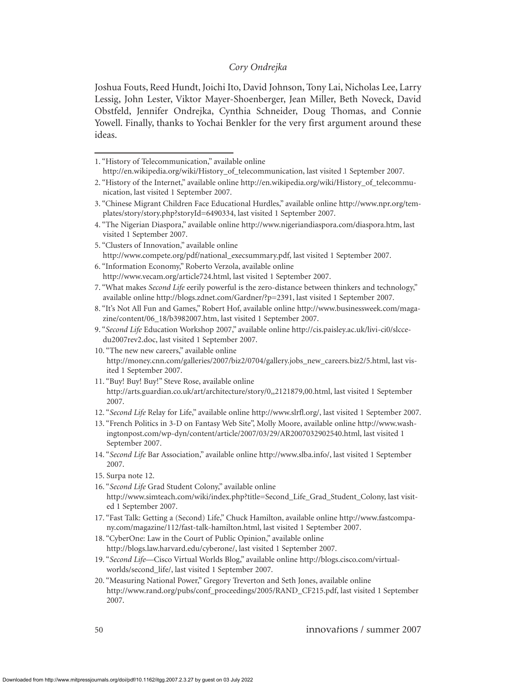Joshua Fouts, Reed Hundt, Joichi Ito, David Johnson, Tony Lai, Nicholas Lee, Larry Lessig, John Lester, Viktor Mayer-Shoenberger, Jean Miller, Beth Noveck, David Obstfeld, Jennifer Ondrejka, Cynthia Schneider, Doug Thomas, and Connie Yowell. Finally, thanks to Yochai Benkler for the very first argument around these ideas.

- 5. "Clusters of Innovation," available online http://www.compete.org/pdf/national\_execsummary.pdf, last visited 1 September 2007.
- 6. "Information Economy," Roberto Verzola, available online http://www.vecam.org/article724.html, last visited 1 September 2007.
- 7. "What makes *Second Life* eerily powerful is the zero-distance between thinkers and technology," available online http://blogs.zdnet.com/Gardner/?p=2391, last visited 1 September 2007.
- 8. "It's Not All Fun and Games," Robert Hof, available online http://www.businessweek.com/magazine/content/06\_18/b3982007.htm, last visited 1 September 2007.
- 9. "*Second Life* Education Workshop 2007," available online http://cis.paisley.ac.uk/livi-ci0/slccedu2007rev2.doc, last visited 1 September 2007.
- 10. "The new new careers," available online http://money.cnn.com/galleries/2007/biz2/0704/gallery.jobs\_new\_careers.biz2/5.html, last visited 1 September 2007.
- 11. "Buy! Buy! Buy!" Steve Rose, available online http://arts.guardian.co.uk/art/architecture/story/0,,2121879,00.html, last visited 1 September 2007.
- 12. "*Second Life* Relay for Life," available online http://www.slrfl.org/, last visited 1 September 2007.
- 13. "French Politics in 3-D on Fantasy Web Site", Molly Moore, available online http://www.washingtonpost.com/wp-dyn/content/article/2007/03/29/AR2007032902540.html, last visited 1 September 2007.
- 14. "*Second Life* Bar Association," available online http://www.slba.info/, last visited 1 September 2007.
- 15. Surpa note 12.
- 16. "*Second Life* Grad Student Colony," available online

- 17. "Fast Talk: Getting a (Second) Life," Chuck Hamilton, available online http://www.fastcompany.com/magazine/112/fast-talk-hamilton.html, last visited 1 September 2007.
- 18. "CyberOne: Law in the Court of Public Opinion," available online http://blogs.law.harvard.edu/cyberone/, last visited 1 September 2007.
- 19. "*Second Life*—Cisco Virtual Worlds Blog," available online http://blogs.cisco.com/virtualworlds/second\_life/, last visited 1 September 2007.
- 20. "Measuring National Power," Gregory Treverton and Seth Jones, available online http://www.rand.org/pubs/conf\_proceedings/2005/RAND\_CF215.pdf, last visited 1 September 2007.

<sup>1. &</sup>quot;History of Telecommunication," available online

http://en.wikipedia.org/wiki/History\_of\_telecommunication, last visited 1 September 2007.

<sup>2. &</sup>quot;History of the Internet," available online http://en.wikipedia.org/wiki/History\_of\_telecommunication, last visited 1 September 2007.

<sup>3. &</sup>quot;Chinese Migrant Children Face Educational Hurdles," available online http://www.npr.org/templates/story/story.php?storyId=6490334, last visited 1 September 2007.

<sup>4. &</sup>quot;The Nigerian Diaspora," available online http://www.nigeriandiaspora.com/diaspora.htm, last visited 1 September 2007.

http://www.simteach.com/wiki/index.php?title=Second\_Life\_Grad\_Student\_Colony, last visited 1 September 2007.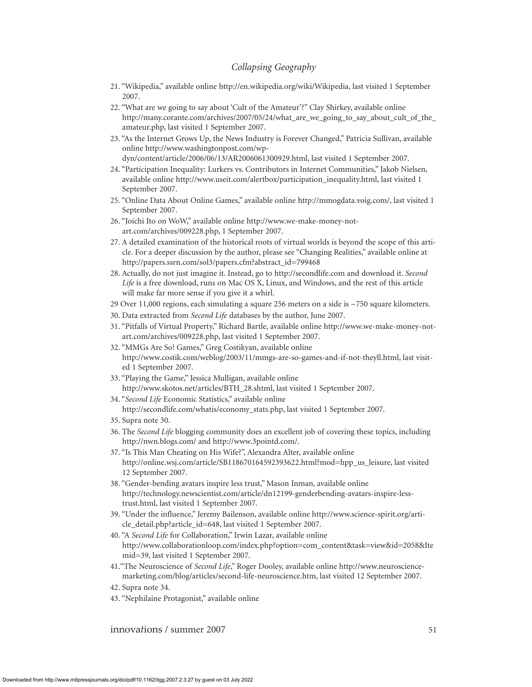- 21. "Wikipedia," available online http://en.wikipedia.org/wiki/Wikipedia, last visited 1 September 2007.
- 22. "What are we going to say about 'Cult of the Amateur'?" Clay Shirkey, available online http://many.corante.com/archives/2007/05/24/what\_are\_we\_going\_to\_say\_about\_cult\_of\_the\_ amateur.php, last visited 1 September 2007.
- 23. "As the Internet Grows Up, the News Industry is Forever Changed," Patricia Sullivan, available online http://www.washingtonpost.com/wpdyn/content/article/2006/06/13/AR2006061300929.html, last visited 1 September 2007.
- 24. "Participation Inequality: Lurkers vs. Contributors in Internet Communities," Jakob Nielsen, available online http://www.useit.com/alertbox/participation\_inequality.html, last visited 1 September 2007.
- 25. "Online Data About Online Games," available online http://mmogdata.voig.com/, last visited 1 September 2007.
- 26. "Joichi Ito on WoW," available online http://www.we-make-money-notart.com/archives/009228.php, 1 September 2007.
- 27. A detailed examination of the historical roots of virtual worlds is beyond the scope of this article. For a deeper discussion by the author, please see "Changing Realities," available online at http://papers.ssrn.com/sol3/papers.cfm?abstract\_id=799468
- 28. Actually, do not just imagine it. Instead, go to http://secondlife.com and download it. *Second Life* is a free download, runs on Mac OS X, Linux, and Windows, and the rest of this article will make far more sense if you give it a whirl.
- 29 Over 11,000 regions, each simulating a square 256 meters on a side is ~750 square kilometers.
- 30. Data extracted from *Second Life* databases by the author, June 2007.
- 31. "Pitfalls of Virtual Property," Richard Bartle, available online http://www.we-make-money-notart.com/archives/009228.php, last visited 1 September 2007.
- 32. "MMGs Are So! Games," Greg Costikyan, available online http://www.costik.com/weblog/2003/11/mmgs-are-so-games-and-if-not-theyll.html, last visited 1 September 2007.
- 33. "Playing the Game," Jessica Mulligan, available online http://www.skotos.net/articles/BTH\_28.shtml, last visited 1 September 2007.
- 34. "*Second Life* Economic Statistics," available online http://secondlife.com/whatis/economy\_stats.php, last visited 1 September 2007.
- 35. Supra note 30.
- 36. The *Second Life* blogging community does an excellent job of covering these topics, including http://nwn.blogs.com/ and http://www.3pointd.com/.
- 37. "Is This Man Cheating on His Wife?", Alexandra Alter, available online http://online.wsj.com/article/SB118670164592393622.html?mod=hpp\_us\_leisure, last visited 12 September 2007.
- 38. "Gender-bending avatars inspire less trust," Mason Inman, available online http://technology.newscientist.com/article/dn12199-genderbending-avatars-inspire-lesstrust.html, last visited 1 September 2007.
- 39. "Under the influence," Jeremy Bailenson, available online http://www.science-spirit.org/article\_detail.php?article\_id=648, last visited 1 September 2007.
- 40. "A *Second Life* for Collaboration," Irwin Lazar, available online http://www.collaborationloop.com/index.php?option=com\_content&task=view&id=2058&Ite mid=39, last visited 1 September 2007.
- 41."The Neuroscience of *Second Life*," Roger Dooley, available online http://www.neurosciencemarketing.com/blog/articles/second-life-neuroscience.htm, last visited 12 September 2007.
- 42. Supra note 34.
- 43. "Nephilaine Protagonist," available online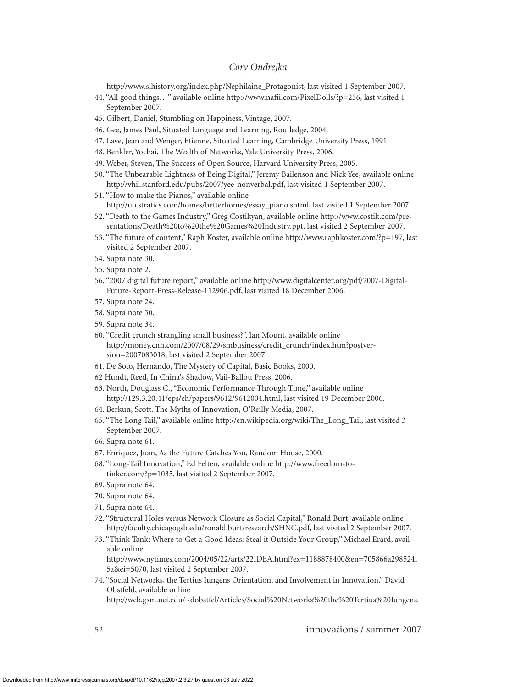http://www.slhistory.org/index.php/Nephilaine\_Protagonist, last visited 1 September 2007.

- 44. "All good things…" available online http://www.nafii.com/PixelDolls/?p=256, last visited 1 September 2007.
- 45. Gilbert, Daniel, Stumbling on Happiness, Vintage, 2007.
- 46. Gee, James Paul, Situated Language and Learning, Routledge, 2004.
- 47. Lave, Jean and Wenger, Etienne, Situated Learning, Cambridge University Press, 1991.
- 48. Benkler, Yochai, The Wealth of Networks, Yale University Press, 2006.
- 49. Weber, Steven, The Success of Open Source, Harvard University Press, 2005.
- 50. "The Unbearable Lightness of Being Digital," Jeremy Bailenson and Nick Yee, available online http://vhil.stanford.edu/pubs/2007/yee-nonverbal.pdf, last visited 1 September 2007.
- 51. "How to make the Pianos," available online http://uo.stratics.com/homes/betterhomes/essay\_piano.shtml, last visited 1 September 2007.
- 52. "Death to the Games Industry," Greg Costikyan, available online http://www.costik.com/presentations/Death%20to%20the%20Games%20Industry.ppt, last visited 2 September 2007.
- 53. "The future of content," Raph Koster, available online http://www.raphkoster.com/?p=197, last visited 2 September 2007.
- 54. Supra note 30.
- 55. Supra note 2.
- 56. "2007 digital future report," available online http://www.digitalcenter.org/pdf/2007-Digital-Future-Report-Press-Release-112906.pdf, last visited 18 December 2006.
- 57. Supra note 24.
- 58. Supra note 30.
- 59. Supra note 34.
- 60. "Credit crunch strangling small business?", Ian Mount, available online http://money.cnn.com/2007/08/29/smbusiness/credit\_crunch/index.htm?postversion=2007083018, last visited 2 September 2007.
- 61. De Soto, Hernando, The Mystery of Capital, Basic Books, 2000.
- 62 Hundt, Reed, In China's Shadow, Vail-Ballou Press, 2006.
- 63. North, Douglass C., "Economic Performance Through Time," available online http://129.3.20.41/eps/eh/papers/9612/9612004.html, last visited 19 December 2006.
- 64. Berkun, Scott. The Myths of Innovation, O'Reilly Media, 2007.
- 65. "The Long Tail," available online http://en.wikipedia.org/wiki/The\_Long\_Tail, last visited 3 September 2007.
- 66. Supra note 61.
- 67. Enriquez, Juan, As the Future Catches You, Random House, 2000.
- 68. "Long-Tail Innovation," Ed Felten, available online http://www.freedom-totinker.com/?p=1035, last visited 2 September 2007.
- 69. Supra note 64.
- 70. Supra note 64.
- 71. Supra note 64.
- 72. "Structural Holes versus Network Closure as Social Capital," Ronald Burt, available online http://faculty.chicagogsb.edu/ronald.burt/research/SHNC.pdf, last visited 2 September 2007.
- 73. "Think Tank: Where to Get a Good Ideas: Steal it Outside Your Group," Michael Erard, available online

http://www.nytimes.com/2004/05/22/arts/22IDEA.html?ex=1188878400&en=705866a298524f 5a&ei=5070, last visited 2 September 2007.

74. "Social Networks, the Tertius Iungens Orientation, and Involvement in Innovation," David Obstfeld, available online

http://web.gsm.uci.edu/~dobstfel/Articles/Social%20Networks%20the%20Tertius%20Iungens.

52 innova*t*ions / summer 2007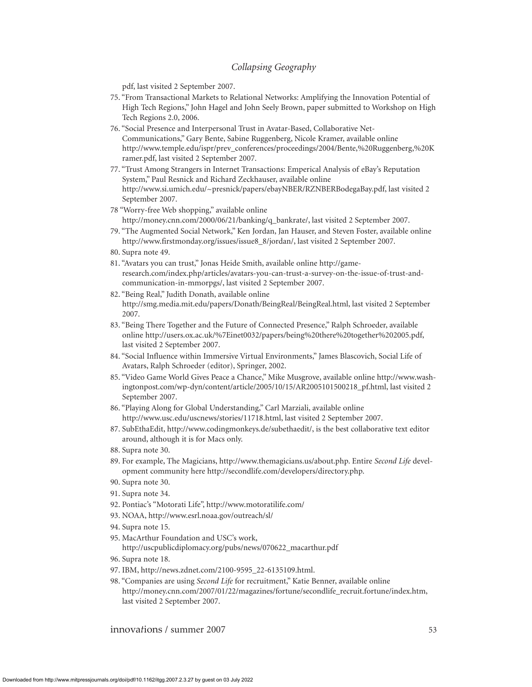pdf, last visited 2 September 2007.

- 75. "From Transactional Markets to Relational Networks: Amplifying the Innovation Potential of High Tech Regions," John Hagel and John Seely Brown, paper submitted to Workshop on High Tech Regions 2.0, 2006.
- 76. "Social Presence and Interpersonal Trust in Avatar-Based, Collaborative Net-Communications," Gary Bente, Sabine Ruggenberg, Nicole Kramer, available online http://www.temple.edu/ispr/prev\_conferences/proceedings/2004/Bente,%20Ruggenberg,%20K ramer.pdf, last visited 2 September 2007.
- 77. "Trust Among Strangers in Internet Transactions: Emperical Analysis of eBay's Reputation System," Paul Resnick and Richard Zeckhauser, available online http://www.si.umich.edu/~presnick/papers/ebayNBER/RZNBERBodegaBay.pdf, last visited 2 September 2007.
- 78 "Worry-free Web shopping," available online http://money.cnn.com/2000/06/21/banking/q\_bankrate/, last visited 2 September 2007.
- 79. "The Augmented Social Network," Ken Jordan, Jan Hauser, and Steven Foster, available online http://www.firstmonday.org/issues/issue8\_8/jordan/, last visited 2 September 2007.
- 80. Supra note 49.
- 81. "Avatars you can trust," Jonas Heide Smith, available online http://gameresearch.com/index.php/articles/avatars-you-can-trust-a-survey-on-the-issue-of-trust-andcommunication-in-mmorpgs/, last visited 2 September 2007.
- 82. "Being Real," Judith Donath, available online http://smg.media.mit.edu/papers/Donath/BeingReal/BeingReal.html, last visited 2 September 2007.
- 83. "Being There Together and the Future of Connected Presence," Ralph Schroeder, available online http://users.ox.ac.uk/%7Einet0032/papers/being%20there%20together%202005.pdf, last visited 2 September 2007.
- 84. "Social Influence within Immersive Virtual Environments," James Blascovich, Social Life of Avatars, Ralph Schroeder (editor), Springer, 2002.
- 85. "Video Game World Gives Peace a Chance," Mike Musgrove, available online http://www.washingtonpost.com/wp-dyn/content/article/2005/10/15/AR2005101500218\_pf.html, last visited 2 September 2007.
- 86. "Playing Along for Global Understanding," Carl Marziali, available online http://www.usc.edu/uscnews/stories/11718.html, last visited 2 September 2007.
- 87. SubEthaEdit, http://www.codingmonkeys.de/subethaedit/, is the best collaborative text editor around, although it is for Macs only.
- 88. Supra note 30.
- 89. For example, The Magicians, http://www.themagicians.us/about.php. Entire *Second Life* development community here http://secondlife.com/developers/directory.php.
- 90. Supra note 30.
- 91. Supra note 34.
- 92. Pontiac's "Motorati Life", http://www.motoratilife.com/
- 93. NOAA, http://www.esrl.noaa.gov/outreach/sl/
- 94. Supra note 15.
- 95. MacArthur Foundation and USC's work, http://uscpublicdiplomacy.org/pubs/news/070622\_macarthur.pdf
- 96. Supra note 18.
- 97. IBM, http://news.zdnet.com/2100-9595\_22-6135109.html.
- 98. "Companies are using *Second Life* for recruitment," Katie Benner, available online http://money.cnn.com/2007/01/22/magazines/fortune/secondlife\_recruit.fortune/index.htm, last visited 2 September 2007.